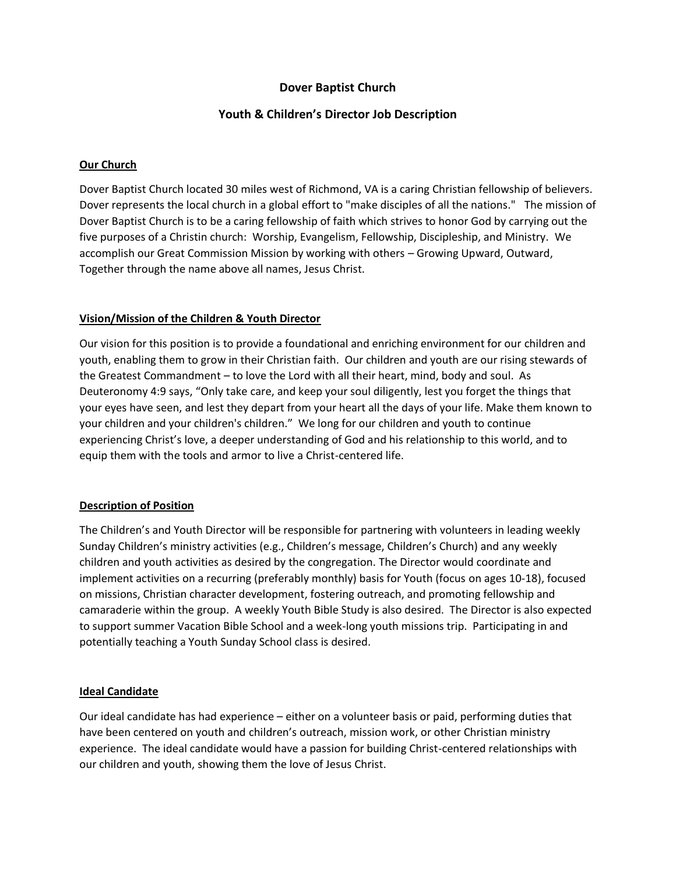# **Dover Baptist Church**

### **Youth & Children's Director Job Description**

### **Our Church**

Dover Baptist Church located 30 miles west of Richmond, VA is a caring Christian fellowship of believers. Dover represents the local church in a global effort to "make disciples of all the nations." The mission of Dover Baptist Church is to be a caring fellowship of faith which strives to honor God by carrying out the five purposes of a Christin church: Worship, Evangelism, Fellowship, Discipleship, and Ministry. We accomplish our Great Commission Mission by working with others – Growing Upward, Outward, Together through the name above all names, Jesus Christ.

### **Vision/Mission of the Children & Youth Director**

Our vision for this position is to provide a foundational and enriching environment for our children and youth, enabling them to grow in their Christian faith. Our children and youth are our rising stewards of the Greatest Commandment – to love the Lord with all their heart, mind, body and soul. As Deuteronomy 4:9 says, "Only take care, and keep your soul diligently, lest you forget the things that your eyes have seen, and lest they depart from your heart all the days of your life. Make them known to your children and your children's children." We long for our children and youth to continue experiencing Christ's love, a deeper understanding of God and his relationship to this world, and to equip them with the tools and armor to live a Christ-centered life.

#### **Description of Position**

The Children's and Youth Director will be responsible for partnering with volunteers in leading weekly Sunday Children's ministry activities (e.g., Children's message, Children's Church) and any weekly children and youth activities as desired by the congregation. The Director would coordinate and implement activities on a recurring (preferably monthly) basis for Youth (focus on ages 10-18), focused on missions, Christian character development, fostering outreach, and promoting fellowship and camaraderie within the group. A weekly Youth Bible Study is also desired. The Director is also expected to support summer Vacation Bible School and a week-long youth missions trip. Participating in and potentially teaching a Youth Sunday School class is desired.

## **Ideal Candidate**

Our ideal candidate has had experience – either on a volunteer basis or paid, performing duties that have been centered on youth and children's outreach, mission work, or other Christian ministry experience. The ideal candidate would have a passion for building Christ-centered relationships with our children and youth, showing them the love of Jesus Christ.